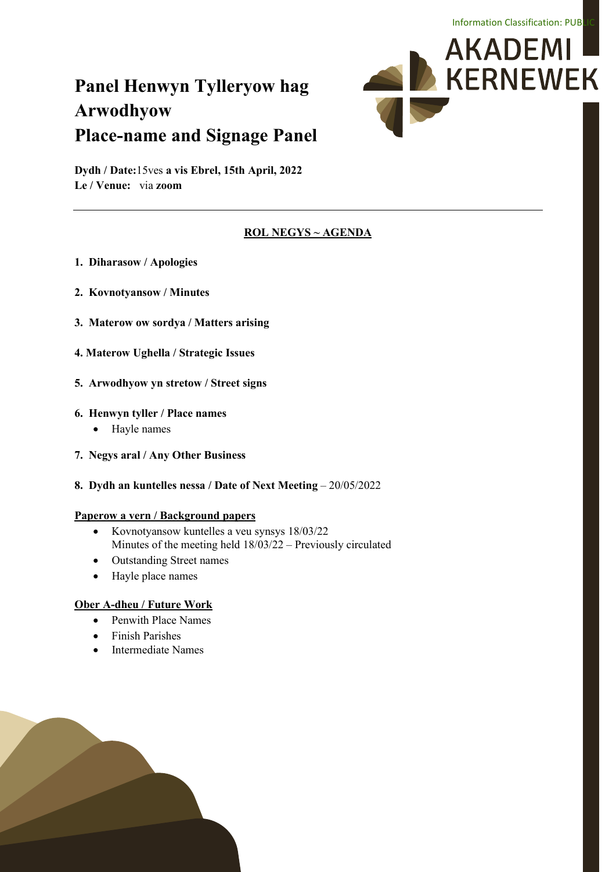# **Panel Henwyn Tylleryow hag Arwodhyow Place-name and Signage Panel**



**Dydh / Date:**15ves **a vis Ebrel, 15th April, 2022 Le / Venue:** via **zoom**

## **ROL NEGYS ~ AGENDA**

- **1. Diharasow / Apologies**
- **2. Kovnotyansow / Minutes**
- **3. Materow ow sordya / Matters arising**
- **4. Materow Ughella / Strategic Issues**
- **5. Arwodhyow yn stretow / Street signs**

#### **6. Henwyn tyller / Place names**

- Hayle names
- **7. Negys aral / Any Other Business**
- **8. Dydh an kuntelles nessa / Date of Next Meeting**  20/05/2022

#### **Paperow a vern / Background papers**

- Kovnotyansow kuntelles a veu synsys 18/03/22 Minutes of the meeting held 18/03/22 – Previously circulated
- Outstanding Street names
- Hayle place names

## **Ober A-dheu / Future Work**

- Penwith Place Names
- Finish Parishes
- Intermediate Names

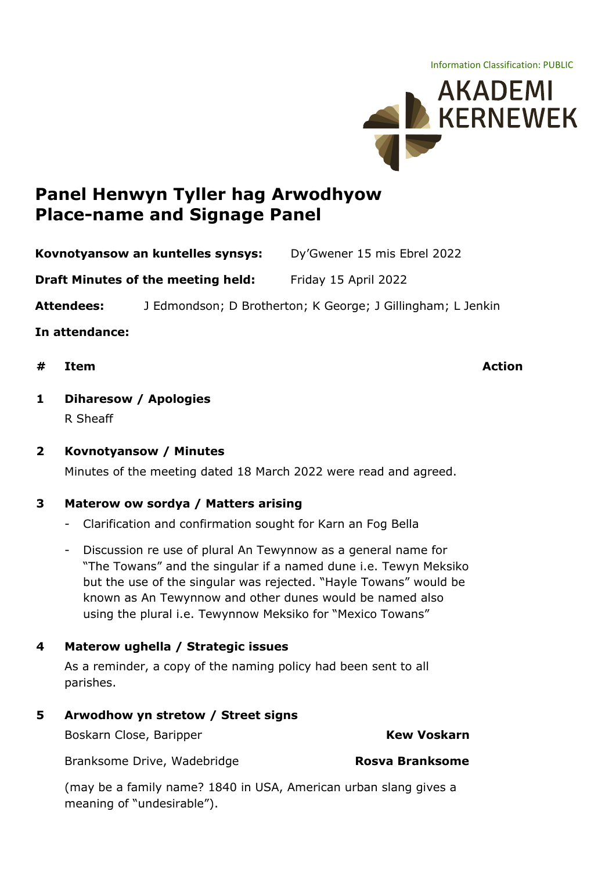Information Classification: PUBLIC



## **Panel Henwyn Tyller hag Arwodhyow Place-name and Signage Panel**

**Kovnotyansow an kuntelles synsys:** Dy'Gwener 15 mis Ebrel 2022

**Draft Minutes of the meeting held:** Friday 15 April 2022

**Attendees:** J Edmondson; D Brotherton; K George; J Gillingham; L Jenkin

**In attendance:**

**# Item Action**

## **1 Diharesow / Apologies**

R Sheaff

**2 Kovnotyansow / Minutes**

Minutes of the meeting dated 18 March 2022 were read and agreed.

## **3 Materow ow sordya / Matters arising**

- Clarification and confirmation sought for Karn an Fog Bella
- Discussion re use of plural An Tewynnow as a general name for "The Towans" and the singular if a named dune i.e. Tewyn Meksiko but the use of the singular was rejected. "Hayle Towans" would be known as An Tewynnow and other dunes would be named also using the plural i.e. Tewynnow Meksiko for "Mexico Towans"

## **4 Materow ughella / Strategic issues**

As a reminder, a copy of the naming policy had been sent to all parishes.

## **5 Arwodhow yn stretow / Street signs**

Boskarn Close, Baripper **Kew Voskarn** 

Branksome Drive, Wadebridge **Rosva Branksome** 

(may be a family name? 1840 in USA, American urban slang gives a meaning of "undesirable").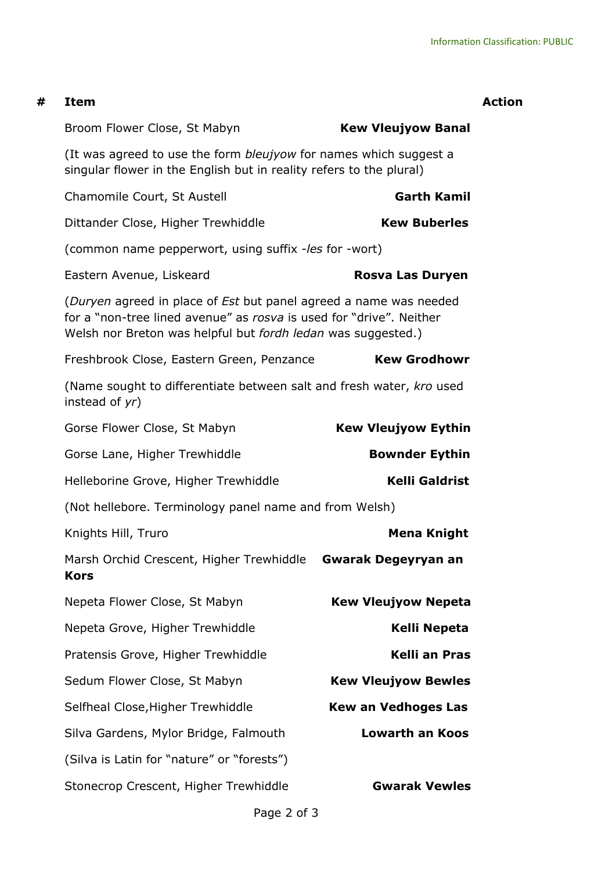| # | <b>Item</b>                                                                                                                                                                                              |                            | <b>Action</b> |
|---|----------------------------------------------------------------------------------------------------------------------------------------------------------------------------------------------------------|----------------------------|---------------|
|   | Broom Flower Close, St Mabyn                                                                                                                                                                             | <b>Kew Vleujyow Banal</b>  |               |
|   | (It was agreed to use the form <i>bleujyow</i> for names which suggest a<br>singular flower in the English but in reality refers to the plural)                                                          |                            |               |
|   | Chamomile Court, St Austell                                                                                                                                                                              | <b>Garth Kamil</b>         |               |
|   | Dittander Close, Higher Trewhiddle                                                                                                                                                                       | <b>Kew Buberles</b>        |               |
|   | (common name pepperwort, using suffix -les for -wort)                                                                                                                                                    |                            |               |
|   | Eastern Avenue, Liskeard                                                                                                                                                                                 | <b>Rosva Las Duryen</b>    |               |
|   | (Duryen agreed in place of Est but panel agreed a name was needed<br>for a "non-tree lined avenue" as rosva is used for "drive". Neither<br>Welsh nor Breton was helpful but fordh ledan was suggested.) |                            |               |
|   | Freshbrook Close, Eastern Green, Penzance                                                                                                                                                                | <b>Kew Grodhowr</b>        |               |
|   | (Name sought to differentiate between salt and fresh water, kro used<br>instead of yr)                                                                                                                   |                            |               |
|   | Gorse Flower Close, St Mabyn                                                                                                                                                                             | <b>Kew Vleujyow Eythin</b> |               |
|   | Gorse Lane, Higher Trewhiddle                                                                                                                                                                            | <b>Bownder Eythin</b>      |               |
|   | Helleborine Grove, Higher Trewhiddle                                                                                                                                                                     | <b>Kelli Galdrist</b>      |               |
|   | (Not hellebore. Terminology panel name and from Welsh)                                                                                                                                                   |                            |               |
|   | Knights Hill, Truro                                                                                                                                                                                      | <b>Mena Knight</b>         |               |
|   | Marsh Orchid Crescent, Higher Trewhiddle<br><b>Kors</b>                                                                                                                                                  | <b>Gwarak Degeyryan an</b> |               |
|   | Nepeta Flower Close, St Mabyn                                                                                                                                                                            | <b>Kew Vleujyow Nepeta</b> |               |
|   | Nepeta Grove, Higher Trewhiddle                                                                                                                                                                          | Kelli Nepeta               |               |
|   | Pratensis Grove, Higher Trewhiddle                                                                                                                                                                       | <b>Kelli an Pras</b>       |               |
|   | Sedum Flower Close, St Mabyn                                                                                                                                                                             | <b>Kew Vleujyow Bewles</b> |               |
|   | Selfheal Close, Higher Trewhiddle                                                                                                                                                                        | <b>Kew an Vedhoges Las</b> |               |
|   | Silva Gardens, Mylor Bridge, Falmouth                                                                                                                                                                    | <b>Lowarth an Koos</b>     |               |
|   | (Silva is Latin for "nature" or "forests")                                                                                                                                                               |                            |               |
|   | Stonecrop Crescent, Higher Trewhiddle                                                                                                                                                                    | <b>Gwarak Vewles</b>       |               |